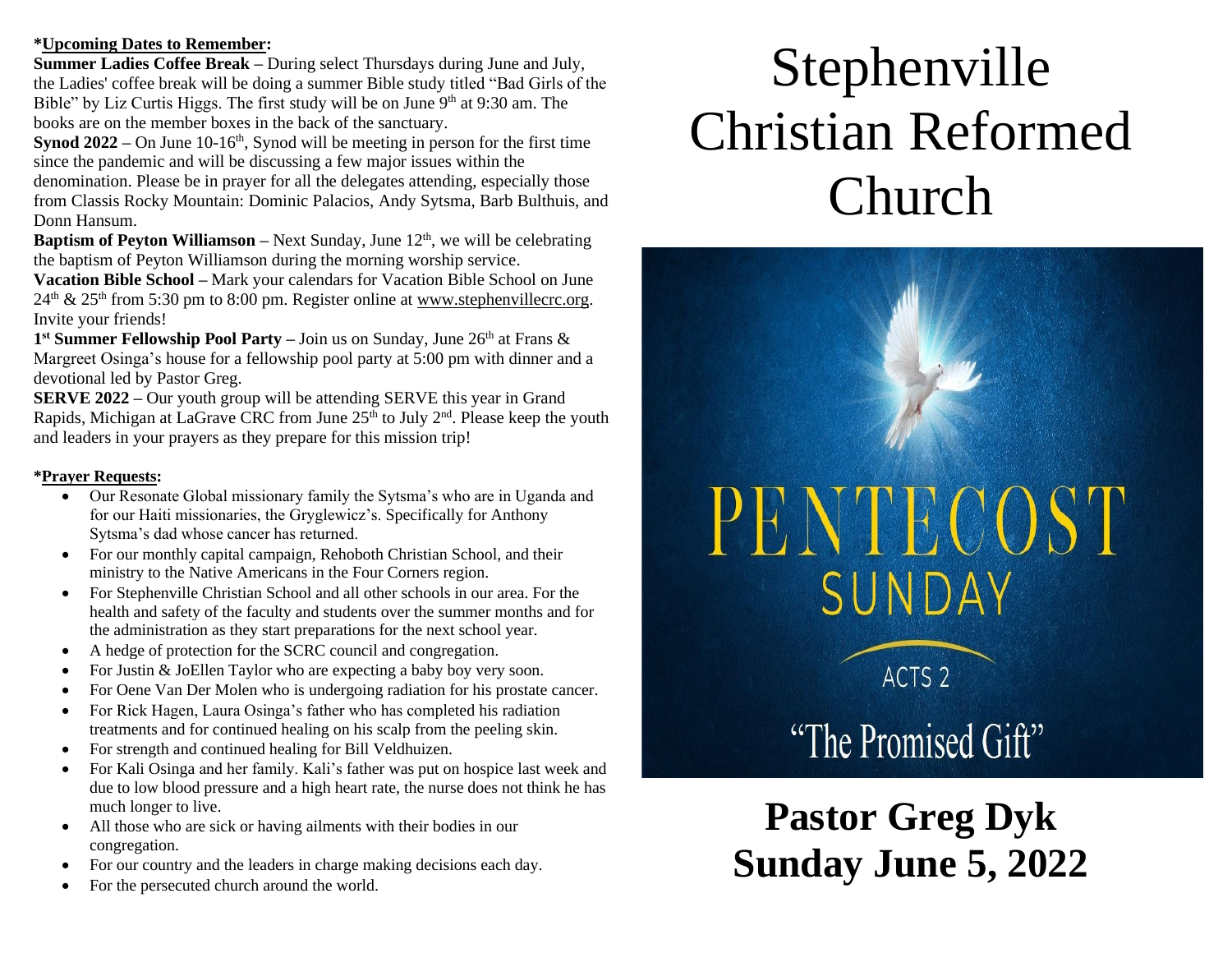#### **\*Upcoming Dates to Remember:**

**Summer Ladies Coffee Break –** During select Thursdays during June and July, the Ladies' coffee break will be doing a summer Bible study titled "Bad Girls of the Bible" by Liz Curtis Higgs. The first study will be on June  $9<sup>th</sup>$  at 9:30 am. The books are on the member boxes in the back of the sanctuary.

**Synod 2022** – On June 10-16<sup>th</sup>, Synod will be meeting in person for the first time since the pandemic and will be discussing a few major issues within the denomination. Please be in prayer for all the delegates attending, especially those from Classis Rocky Mountain: Dominic Palacios, Andy Sytsma, Barb Bulthuis, and Donn Hansum.

**Baptism of Peyton Williamson** – Next Sunday, June 12<sup>th</sup>, we will be celebrating the baptism of Peyton Williamson during the morning worship service.

**Vacation Bible School –** Mark your calendars for Vacation Bible School on June  $24<sup>th</sup>$  &  $25<sup>th</sup>$  from 5:30 pm to 8:00 pm. Register online at [www.stephenvillecrc.org.](http://www.stephenvillecrc.org/) Invite your friends!

1<sup>st</sup> Summer Fellowship Pool Party – Join us on Sunday, June 26<sup>th</sup> at Frans & Margreet Osinga's house for a fellowship pool party at 5:00 pm with dinner and a devotional led by Pastor Greg.

**SERVE 2022 –** Our youth group will be attending SERVE this year in Grand Rapids, Michigan at LaGrave CRC from June  $25<sup>th</sup>$  to July  $2<sup>nd</sup>$ . Please keep the youth and leaders in your prayers as they prepare for this mission trip!

#### **\*Prayer Requests:**

- Our Resonate Global missionary family the Sytsma's who are in Uganda and for our Haiti missionaries, the Gryglewicz's. Specifically for Anthony Sytsma's dad whose cancer has returned.
- For our monthly capital campaign, Rehoboth Christian School, and their ministry to the Native Americans in the Four Corners region.
- For Stephenville Christian School and all other schools in our area. For the health and safety of the faculty and students over the summer months and for the administration as they start preparations for the next school year.
- A hedge of protection for the SCRC council and congregation.
- For Justin & JoEllen Taylor who are expecting a baby boy very soon.
- For Oene Van Der Molen who is undergoing radiation for his prostate cancer.
- For Rick Hagen, Laura Osinga's father who has completed his radiation treatments and for continued healing on his scalp from the peeling skin.
- For strength and continued healing for Bill Veldhuizen.
- For Kali Osinga and her family. Kali's father was put on hospice last week and due to low blood pressure and a high heart rate, the nurse does not think he has much longer to live.
- All those who are sick or having ailments with their bodies in our congregation.
- For our country and the leaders in charge making decisions each day.
- For the persecuted church around the world.

## Stephenville Christian Reformed Church

# **PENTECOST** SUNDAY

ACTS<sub>2</sub>

"The Promised Gift"

**Pastor Greg Dyk Sunday June 5, 2022**